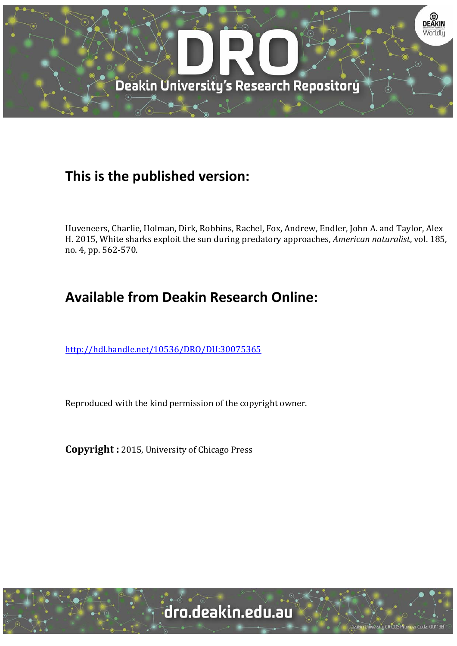

## **This is the published version:**

Huveneers, Charlie, Holman, Dirk, Robbins, Rachel, Fox, Andrew, Endler, John A. and Taylor, Alex H. 2015, White sharks exploit the sun during predatory approaches*, American naturalist*, vol. 185, no. 4, pp. 562-570.

# **Available from Deakin Research Online:**

http://hdl.handle.net/10536/DRO/DU:30075365

Reproduced with the kind permission of the copyright owner.

**Copyright** : 2015, University of Chicago Press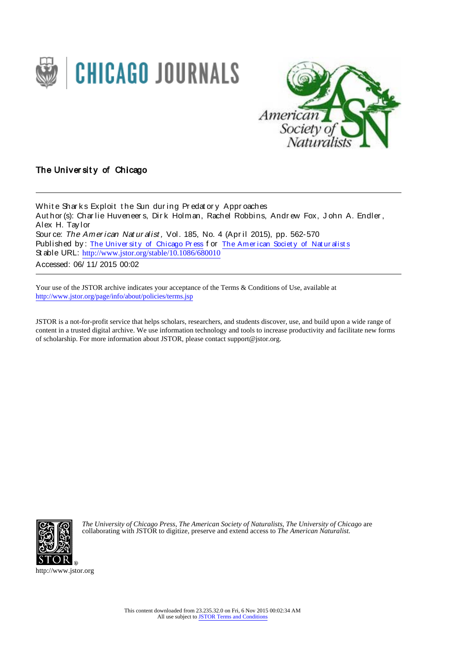



### The University of Chicago

White Sharks Exploit the Sun during Predatory Approaches Aut hor (s): Char lie Huveneer s, Dir k Holman, Rachel Robbins, Andr ew Fox, J ohn A. Endler , Alex H. Tay lor Sour ce: The American Nat uralist, Vol. 185, No. 4 (April 2015), pp. 562-570 Published by: The University of Chicago Press for The American Society of Naturalists St able URL: http://www.jstor.org/stable/10.1086/680010 Accessed: 06/ 11/ 2015 00:02

Your use of the JSTOR archive indicates your acceptance of the Terms & Conditions of Use, available at http://www.jstor.org/page/info/about/policies/terms.jsp

JSTOR is a not-for-profit service that helps scholars, researchers, and students discover, use, and build upon a wide range of content in a trusted digital archive. We use information technology and tools to increase productivity and facilitate new forms of scholarship. For more information about JSTOR, please contact support@jstor.org.



*The University of Chicago Press*, *The American Society of Naturalists*, *The University of Chicago* are collaborating with JSTOR to digitize, preserve and extend access to *The American Naturalist.*

http://www.jstor.org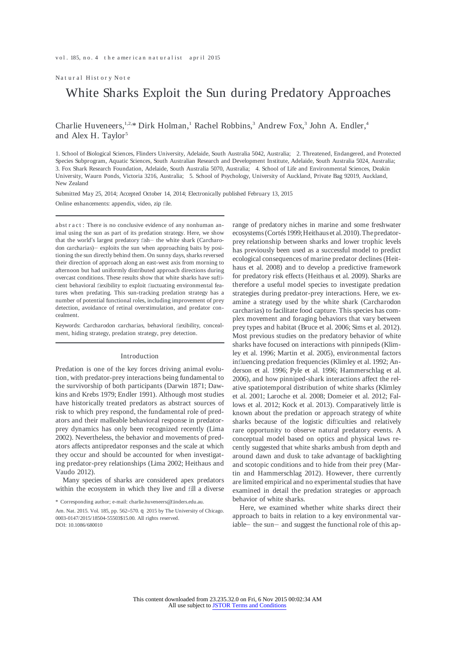#### Nat ur al Hist or y Not e

### White Sharks Exploit the Sun during Predatory Approaches

Charlie Huveneers,<sup>1,2,\*</sup> Dirk Holman,<sup>1</sup> Rachel Robbins,<sup>3</sup> Andrew Fox,<sup>3</sup> John A. Endler,<sup>4</sup> and Alex H. Taylor<sup>5</sup>

1. School of Biological Sciences, Flinders University, Adelaide, South Australia 5042, Australia; 2. Threatened, Endangered, and Protected Species Subprogram, Aquatic Sciences, South Australian Research and Development Institute, Adelaide, South Australia 5024, Australia; 3. Fox Shark Research Foundation, Adelaide, South Australia 5070, Australia; 4. School of Life and Environmental Sciences, Deakin University, Waurn Ponds, Victoria 3216, Australia; 5. School of Psychology, University of Auckland, Private Bag 92019, Auckland, New Zealand

Submitted May 25, 2014; Accepted October 14, 2014; Electronically published February 13, 2015 Online enhancements: appendix, video, zip file.

a bst r a ct : There is no conclusive evidence of any nonhuman animal using the sun as part of its predation strategy. Here, we show that the world's largest predatory fish— the white shark (Carcharodon carcharias)— exploits the sun when approaching baits by positioning the sun directly behind them. On sunny days, sharks reversed their direction of approach along an east-west axis from morning to afternoon but had uniformly distributed approach directions during overcast conditions. These results show that white sharks have sufficient behavioral flexibility to exploit fluctuating environmental features when predating. This sun-tracking predation strategy has a number of potential functional roles, including improvement of prey detection, avoidance of retinal overstimulation, and predator concealment.

Keywords: Carcharodon carcharias, behavioral flexibility, concealment, hiding strategy, predation strategy, prey detection.

#### Introduction

Predation is one of the key forces driving animal evolution, with predator-prey interactions being fundamental to the survivorship of both participants (Darwin 1871; Dawkins and Krebs 1979; Endler 1991). Although most studies have historically treated predators as abstract sources of risk to which prey respond, the fundamental role of predators and their malleable behavioral response in predatorprey dynamics has only been recognized recently (Lima 2002). Nevertheless, the behavior and movements of predators affects antipredator responses and the scale at which they occur and should be accounted for when investigating predator-prey relationships (Lima 2002; Heithaus and Vaudo 2012).

Many species of sharks are considered apex predators within the ecosystem in which they live and fill a diverse range of predatory niches in marine and some freshwater ecosystems (Cortés 1999; Heithaus et al. 2010). The predatorprey relationship between sharks and lower trophic levels has previously been used as a successful model to predict ecological consequences of marine predator declines (Heithaus et al. 2008) and to develop a predictive framework for predatory risk effects (Heithaus et al. 2009). Sharks are therefore a useful model species to investigate predation strategies during predator-prey interactions. Here, we examine a strategy used by the white shark (Carcharodon carcharias) to facilitate food capture. This species has complex movement and foraging behaviors that vary between prey types and habitat (Bruce et al. 2006; Sims et al. 2012). Most previous studies on the predatory behavior of white sharks have focused on interactions with pinnipeds (Klimley et al. 1996; Martin et al. 2005), environmental factors influencing predation frequencies (Klimley et al. 1992; Anderson et al. 1996; Pyle et al. 1996; Hammerschlag et al. 2006), and how pinniped-shark interactions affect the relative spatiotemporal distribution of white sharks (Klimley et al. 2001; Laroche et al. 2008; Domeier et al. 2012; Fallows et al. 2012; Kock et al. 2013). Comparatively little is known about the predation or approach strategy of white sharks because of the logistic difficulties and relatively rare opportunity to observe natural predatory events. A conceptual model based on optics and physical laws recently suggested that white sharks ambush from depth and around dawn and dusk to take advantage of backlighting and scotopic conditions and to hide from their prey (Martin and Hammerschlag 2012). However, there currently are limited empirical and no experimental studies that have examined in detail the predation strategies or approach behavior of white sharks.

Here, we examined whether white sharks direct their approach to baits in relation to a key environmental variable— the sun— and suggest the functional role of this ap-

<sup>\*</sup> Corresponding author; e-mail: charlie.huveneers@flinders.edu.au.

Am. Nat. 2015. Vol. 185, pp. 562–570. q 2015 by The University of Chicago. 0003-0147/2015/18504-55503\$15.00. All rights reserved. DOI: 10.1086/680010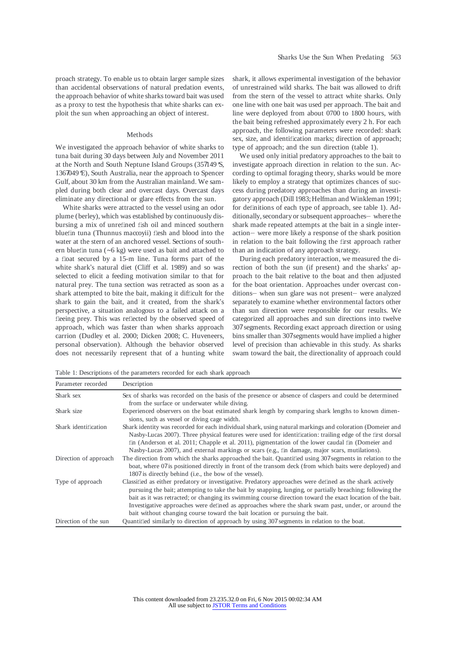proach strategy. To enable us to obtain larger sample sizes than accidental observations of natural predation events, the approach behavior of white sharks toward bait was used as a proxy to test the hypothesis that white sharks can exploit the sun when approaching an object of interest.

#### Methods

We investigated the approach behavior of white sharks to tuna bait during 30 days between July and November 2011 at the North and South Neptune Island Groups (357149′S, 1367049′E), South Australia, near the approach to Spencer Gulf, about 30 km from the Australian mainland. We sampled during both clear and overcast days. Overcast days eliminate any directional or glare effects from the sun.

White sharks were attracted to the vessel using an odor plume (berley), which was established by continuously disbursing a mix of unrefined fish oil and minced southern bluefin tuna (Thunnus maccoyii) flesh and blood into the water at the stern of an anchored vessel. Sections of southern bluefin tuna (∼6 kg) were used as bait and attached to a float secured by a 15-m line. Tuna forms part of the white shark's natural diet (Cliff et al. 1989) and so was selected to elicit a feeding motivation similar to that for natural prey. The tuna section was retracted as soon as a shark attempted to bite the bait, making it difficult for the shark to gain the bait, and it created, from the shark's perspective, a situation analogous to a failed attack on a fleeing prey. This was reflected by the observed speed of approach, which was faster than when sharks approach carrion (Dudley et al. 2000; Dicken 2008; C. Huveneers, personal observation). Although the behavior observed does not necessarily represent that of a hunting white

shark, it allows experimental investigation of the behavior of unrestrained wild sharks. The bait was allowed to drift from the stern of the vessel to attract white sharks. Only one line with one bait was used per approach. The bait and line were deployed from about 0700 to 1800 hours, with the bait being refreshed approximately every 2 h. For each approach, the following parameters were recorded: shark sex, size, and identification marks; direction of approach; type of approach; and the sun direction (table 1).

We used only initial predatory approaches to the bait to investigate approach direction in relation to the sun. According to optimal foraging theory, sharks would be more likely to employ a strategy that optimizes chances of success during predatory approaches than during an investigatory approach (Dill 1983; Helfman and Winkleman 1991; for definitions of each type of approach, see table 1). Additionally, secondary or subsequent approaches— where the shark made repeated attempts at the bait in a single interaction— were more likely a response of the shark position in relation to the bait following the first approach rather than an indication of any approach strategy.

During each predatory interaction, we measured the direction of both the sun (if present) and the sharks' approach to the bait relative to the boat and then adjusted for the boat orientation. Approaches under overcast conditions— when sun glare was not present— were analyzed separately to examine whether environmental factors other than sun direction were responsible for our results. We categorized all approaches and sun directions into twelve 307segments. Recording exact approach direction or using bins smaller than 307segments would have implied a higher level of precision than achievable in this study. As sharks swam toward the bait, the directionality of approach could

Table 1: Descriptions of the parameters recorded for each shark approach

| Parameter recorded    | Description                                                                                                                                                                                                                                                                                                                                                                                                                                                                                                                |  |  |  |
|-----------------------|----------------------------------------------------------------------------------------------------------------------------------------------------------------------------------------------------------------------------------------------------------------------------------------------------------------------------------------------------------------------------------------------------------------------------------------------------------------------------------------------------------------------------|--|--|--|
| Shark sex             | Sex of sharks was recorded on the basis of the presence or absence of claspers and could be determined<br>from the surface or underwater while diving.                                                                                                                                                                                                                                                                                                                                                                     |  |  |  |
| Shark size            | Experienced observers on the boat estimated shark length by comparing shark lengths to known dimen-<br>sions, such as vessel or diving cage width.                                                                                                                                                                                                                                                                                                                                                                         |  |  |  |
| Shark identification  | Shark identity was recorded for each individual shark, using natural markings and coloration (Domeier and<br>Nasby-Lucas 2007). Three physical features were used for identification: trailing edge of the first dorsal<br>fin (Anderson et al. 2011; Chapple et al. 2011), pigmentation of the lower caudal fin (Domeier and<br>Nasby-Lucas 2007), and external markings or scars (e.g., fin damage, major scars, mutilations).                                                                                           |  |  |  |
| Direction of approach | The direction from which the sharks approached the bait. Quantified using 307 segments in relation to the<br>boat, where 07 is positioned directly in front of the transom deck (from which baits were deployed) and<br>1807 is directly behind ( <i>i.e.</i> , the bow of the vessel).                                                                                                                                                                                                                                    |  |  |  |
| Type of approach      | Classified as either predatory or investigative. Predatory approaches were defined as the shark actively<br>pursuing the bait; attempting to take the bait by snapping, lunging, or partially breaching; following the<br>bait as it was retracted; or changing its swimming course direction toward the exact location of the bait.<br>Investigative approaches were defined as approaches where the shark swam past, under, or around the<br>bait without changing course toward the bait location or pursuing the bait. |  |  |  |
| Direction of the sun  | Quantified similarly to direction of approach by using 307 segments in relation to the boat.                                                                                                                                                                                                                                                                                                                                                                                                                               |  |  |  |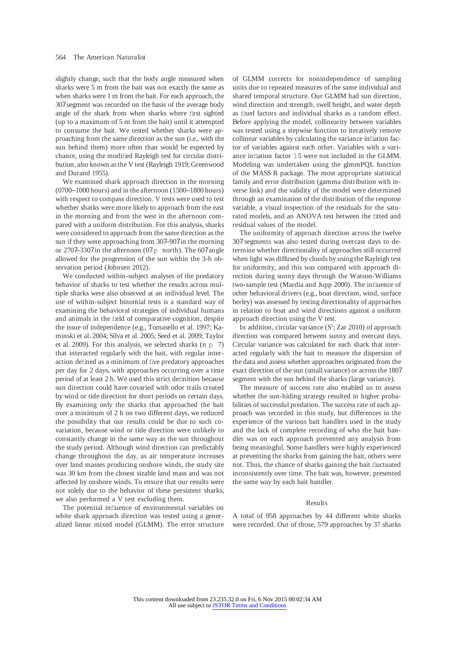slightly change, such that the body angle measured when sharks were 5 m from the bait was not exactly the same as when sharks were 1 m from the bait. For each approach, the 307segment was recorded on the basis of the average body angle of the shark from when sharks where first sighted (up to a maximum of 5 m from the bait) until it attempted to consume the bait. We tested whether sharks were approaching from the same direction as the sun (i.e., with the sun behind them) more often than would be expected by chance, using the modified Rayleigh test for circular distribution, also known as the V test (Rayleigh 1919; Greenwood and Durand 1955).

We examined shark approach direction in the morning (0700–1000 hours) and in the afternoon (1500–1800 hours) with respect to compass direction. V tests were used to test whether sharks were more likely to approach from the east in the morning and from the west in the afternoon compared with a uniform distribution. For this analysis, sharks were considered to approach from the same direction as the sun if they were approaching from 307–907in the morning or 2707–3307 in the afternoon (07p north). The 607 angle allowed for the progression of the sun within the 3-h observation period (Johnsen 2012).

We conducted within-subject analyses of the predatory behavior of sharks to test whether the results across multiple sharks were also observed at an individual level. The use of within-subject binomial tests is a standard way of examining the behavioral strategies of individual humans and animals in the field of comparative cognition, despite the issue of independence (e.g., Tomasello et al. 1997; Kaminski et al. 2004; Silva et al. 2005; Seed et al. 2009; Taylor et al. 2009). For this analysis, we selected sharks  $(n \nvert p \nvert 7)$ that interacted regularly with the bait, with regular interaction defined as a minimum of five predatory approaches per day for 2 days, with approaches occurring over a time period of at least 2 h. We used this strict definition because sun direction could have covaried with odor trails created by wind or tide direction for short periods on certain days. By examining only the sharks that approached the bait over a minimum of 2 h on two different days, we reduced the possibility that our results could be due to such covariation, because wind or tide direction were unlikely to constantly change in the same way as the sun throughout the study period. Although wind direction can predictably change throughout the day, as air temperature increases over land masses producing onshore winds, the study site was 30 km from the closest sizable land mass and was not affected by onshore winds. To ensure that our results were not solely due to the behavior of these persistent sharks, we also performed a V test excluding them.

The potential influence of environmental variables on white shark approach direction was tested using a generalized linear mixed model (GLMM). The error structure of GLMM corrects for nonindependence of sampling units due to repeated measures of the same individual and shared temporal structure. Our GLMM had sun direction, wind direction and strength, swell height, and water depth as fixed factors and individual sharks as a random effect. Before applying the model, collinearity between variables was tested using a stepwise function to iteratively remove collinear variables by calculating the variance inflation factor of variables against each other. Variables with a variance inflation factor 15 were not included in the GLMM. Modeling was undertaken using the glmmPQL function of the MASS R package. The most appropriate statistical family and error distribution (gamma distribution with inverse link) and the validity of the model were determined through an examination of the distribution of the response variable, a visual inspection of the residuals for the saturated models, and an ANOVA test between the fitted and residual values of the model.

The uniformity of approach direction across the twelve 307segments was also tested during overcast days to determine whether directionality of approaches still occurred when light was diffused by clouds by using the Rayleigh test for uniformity, and this was compared with approach direction during sunny days through the Watson-Williams two-sample test (Mardia and Jupp 2000). The influence of other behavioral drivers (e.g., boat direction, wind, surface berley) was assessed by testing directionality of approaches in relation to boat and wind directions against a uniform approach direction using the V test.

In addition, circular variance  $(S^2; Zar 2010)$  of approach direction was compared between sunny and overcast days. Circular variance was calculated for each shark that interacted regularly with the bait to measure the dispersion of the data and assess whether approaches originated from the exact direction of the sun (small variance) or across the 1807 segment with the sun behind the sharks (large variance).

The measure of success rate also enabled us to assess whether the sun-hiding strategy resulted in higher probabilities of successful predation. The success rate of each approach was recorded in this study, but differences in the experience of the various bait handlers used in the study and the lack of complete recording of who the bait handler was on each approach prevented any analysis from being meaningful. Some handlers were highly experienced at preventing the sharks from gaining the bait, others were not. Thus, the chance of sharks gaining the bait fluctuated inconsistently over time. The bait was, however, presented the same way by each bait handler.

#### Results

A total of 958 approaches by 44 different white sharks were recorded. Out of those, 579 approaches by 37 sharks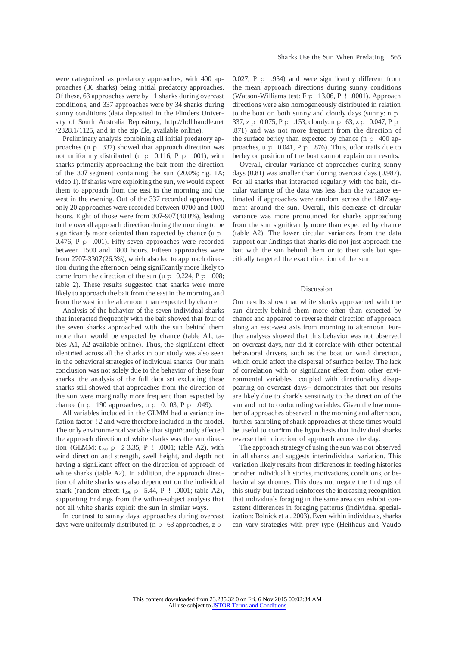were categorized as predatory approaches, with 400 approaches (36 sharks) being initial predatory approaches. Of these, 63 approaches were by 11 sharks during overcast conditions, and 337 approaches were by 34 sharks during sunny conditions (data deposited in the Flinders University of South Australia Repository, http://hdl.handle.net /2328.1/1125, and in the zip file, available online).

Preliminary analysis combining all initial predatory approaches ( $n \times 337$ ) showed that approach direction was not uniformly distributed (u  $p \quad 0.116$ , P  $p \quad .001$ ), with sharks primarily approaching the bait from the direction of the 307 segment containing the sun (20.0%; fig. 1A; video 1). If sharks were exploiting the sun, we would expect them to approach from the east in the morning and the west in the evening. Out of the 337 recorded approaches, only 20 approaches were recorded between 0700 and 1000 hours. Eight of those were from 307–907(40.0%), leading to the overall approach direction during the morning to be significantly more oriented than expected by chance (u p 0.476, P p .001). Fifty-seven approaches were recorded between 1500 and 1800 hours. Fifteen approaches were from 2707–3307(26.3%), which also led to approach direction during the afternoon being significantly more likely to come from the direction of the sun (u p  $0.224$ , P p  $.008$ ; table 2). These results suggested that sharks were more likely to approach the bait from the east in the morning and from the west in the afternoon than expected by chance.

Analysis of the behavior of the seven individual sharks that interacted frequently with the bait showed that four of the seven sharks approached with the sun behind them more than would be expected by chance (table A1; tables A1, A2 available online). Thus, the significant effect identified across all the sharks in our study was also seen in the behavioral strategies of individual sharks. Our main conclusion was not solely due to the behavior of these four sharks; the analysis of the full data set excluding these sharks still showed that approaches from the direction of the sun were marginally more frequent than expected by chance (n p 190 approaches, u p 0.103, P p  $.049$ ).

All variables included in the GLMM had a variance inflation factor !2 and were therefore included in the model. The only environmental variable that significantly affected the approach direction of white sharks was the sun direction (GLMM:  $t_{298}$  p 2 3.35, P ! .0001; table A2), with wind direction and strength, swell height, and depth not having a significant effect on the direction of approach of white sharks (table A2). In addition, the approach direction of white sharks was also dependent on the individual shark (random effect:  $t_{298}$  p 5.44, P ! .0001; table A2), supporting findings from the within-subject analysis that not all white sharks exploit the sun in similar ways.

In contrast to sunny days, approaches during overcast days were uniformly distributed (n  $\,p\,$  63 approaches, z  $\,p\,$ 

0.027, P p .954) and were significantly different from the mean approach directions during sunny conditions (Watson-Williams test: F p 13.06, P ! .0001). Approach directions were also homogeneously distributed in relation to the boat on both sunny and cloudy days (sunny: n p 337, z p 0.075, P p .153; cloudy: n p 63, z p 0.047, P p .871) and was not more frequent from the direction of the surface berley than expected by chance (n p 400 approaches,  $u \, p \, 0.041$ ,  $P \, p \, .876$ ). Thus, odor trails due to berley or position of the boat cannot explain our results.

Overall, circular variance of approaches during sunny days (0.81) was smaller than during overcast days (0.987). For all sharks that interacted regularly with the bait, circular variance of the data was less than the variance estimated if approaches were random across the 1807 segment around the sun. Overall, this decrease of circular variance was more pronounced for sharks approaching from the sun significantly more than expected by chance (table A2). The lower circular variances from the data support our findings that sharks did not just approach the bait with the sun behind them or to their side but specifically targeted the exact direction of the sun.

#### Discussion

Our results show that white sharks approached with the sun directly behind them more often than expected by chance and appeared to reverse their direction of approach along an east-west axis from morning to afternoon. Further analyses showed that this behavior was not observed on overcast days, nor did it correlate with other potential behavioral drivers, such as the boat or wind direction, which could affect the dispersal of surface berley. The lack of correlation with or significant effect from other environmental variables— coupled with directionality disappearing on overcast days— demonstrates that our results are likely due to shark's sensitivity to the direction of the sun and not to confounding variables. Given the low number of approaches observed in the morning and afternoon, further sampling of shark approaches at these times would be useful to confirm the hypothesis that individual sharks reverse their direction of approach across the day.

The approach strategy of using the sun was not observed in all sharks and suggests interindividual variation. This variation likely results from differences in feeding histories or other individual histories, motivations, conditions, or behavioral syndromes. This does not negate the findings of this study but instead reinforces the increasing recognition that individuals foraging in the same area can exhibit consistent differences in foraging patterns (individual specialization; Bolnick et al. 2003). Even within individuals, sharks can vary strategies with prey type (Heithaus and Vaudo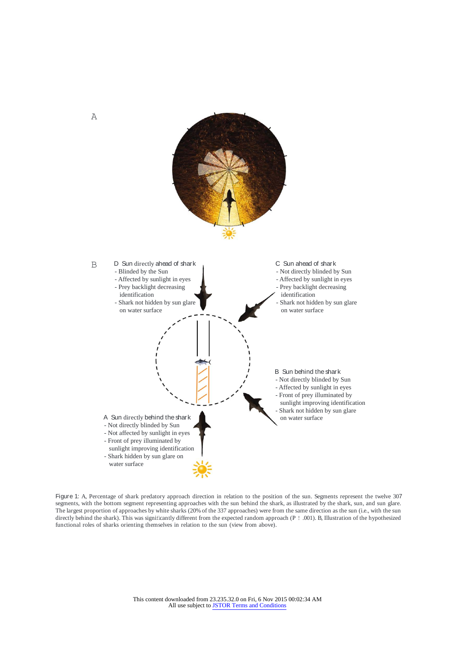

Figure 1: A, Percentage of shark predatory approach direction in relation to the position of the sun. Segments represent the twelve 307 segments, with the bottom segment representing approaches with the sun behind the shark, as illustrated by the shark, sun, and sun glare. The largest proportion of approaches by white sharks (20% of the 337 approaches) were from the same direction as the sun (i.e., with the sun directly behind the shark). This was significantly different from the expected random approach (P ! .001). B, Illustration of the hypothesized functional roles of sharks orienting themselves in relation to the sun (view from above).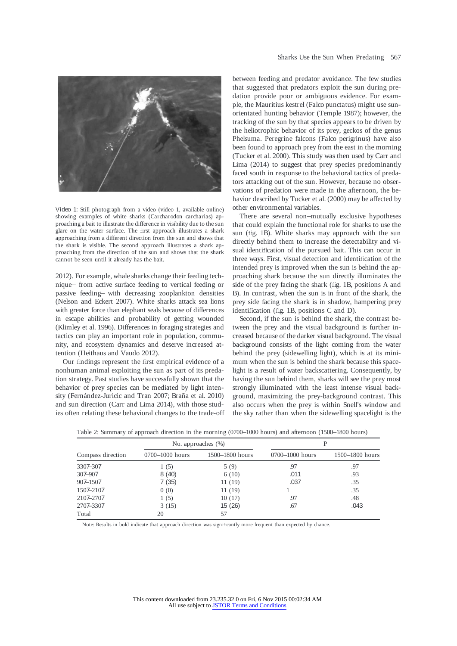

Video 1: Still photograph from a video (video 1, available online) showing examples of white sharks (Carcharodon carcharias) approaching a bait to illustrate the difference in visibility due to the sun glare on the water surface. The first approach illustrates a shark approaching from a different direction from the sun and shows that the shark is visible. The second approach illustrates a shark approaching from the direction of the sun and shows that the shark cannot be seen until it already has the bait.

2012). For example, whale sharks change their feeding technique— from active surface feeding to vertical feeding or passive feeding— with decreasing zooplankton densities (Nelson and Eckert 2007). White sharks attack sea lions with greater force than elephant seals because of differences in escape abilities and probability of getting wounded (Klimley et al. 1996). Differences in foraging strategies and tactics can play an important role in population, community, and ecosystem dynamics and deserve increased attention (Heithaus and Vaudo 2012).

Our findings represent the first empirical evidence of a nonhuman animal exploiting the sun as part of its predation strategy. Past studies have successfully shown that the behavior of prey species can be mediated by light intensity (Fernández-Juricic and Tran 2007; Braña et al. 2010) and sun direction (Carr and Lima 2014), with those studies often relating these behavioral changes to the trade-off between feeding and predator avoidance. The few studies that suggested that predators exploit the sun during predation provide poor or ambiguous evidence. For example, the Mauritius kestrel (Falco punctatus) might use sunorientated hunting behavior (Temple 1987); however, the tracking of the sun by that species appears to be driven by the heliotrophic behavior of its prey, geckos of the genus Phelsuma. Peregrine falcons (Falco perigrinus) have also been found to approach prey from the east in the morning (Tucker et al. 2000). This study was then used by Carr and Lima (2014) to suggest that prey species predominantly faced south in response to the behavioral tactics of predators attacking out of the sun. However, because no observations of predation were made in the afternoon, the behavior described by Tucker et al. (2000) may be affected by other environmental variables.

There are several non–mutually exclusive hypotheses that could explain the functional role for sharks to use the sun (fig. 1B). White sharks may approach with the sun directly behind them to increase the detectability and visual identification of the pursued bait. This can occur in three ways. First, visual detection and identification of the intended prey is improved when the sun is behind the approaching shark because the sun directly illuminates the side of the prey facing the shark (fig. 1B, positions A and B). In contrast, when the sun is in front of the shark, the prey side facing the shark is in shadow, hampering prey identification (fig. 1B, positions C and D).

Second, if the sun is behind the shark, the contrast between the prey and the visual background is further increased because of the darker visual background. The visual background consists of the light coming from the water behind the prey (sidewelling light), which is at its minimum when the sun is behind the shark because this spacelight is a result of water backscattering. Consequently, by having the sun behind them, sharks will see the prey most strongly illuminated with the least intense visual background, maximizing the prey-background contrast. This also occurs when the prey is within Snell's window and the sky rather than when the sidewelling spacelight is the

| Compass direction | No. approaches (%)  |                 |                     |                     |
|-------------------|---------------------|-----------------|---------------------|---------------------|
|                   | $0700 - 1000$ hours | 1500–1800 hours | $0700 - 1000$ hours | $1500 - 1800$ hours |
| 3307-307          | 1(5)                | 5(9)            | .97                 | .97                 |
| 307-907           | 8(40)               | 6(10)           | .011                | .93                 |
| 907-1507          | 7(35)               | 11(19)          | .037                | .35                 |
| 1507-2107         | 0(0)                | 11 (19)         |                     | .35                 |
| 2107-2707         | 1(5)                | 10(17)          | .97                 | .48                 |
| 2707-3307         | 3(15)               | 15(26)          | .67                 | .043                |
| Total             | 20                  | 57              |                     |                     |

Table 2: Summary of approach direction in the morning (0700–1000 hours) and afternoon (1500–1800 hours)

Note: Results in bold indicate that approach direction was significantly more frequent than expected by chance.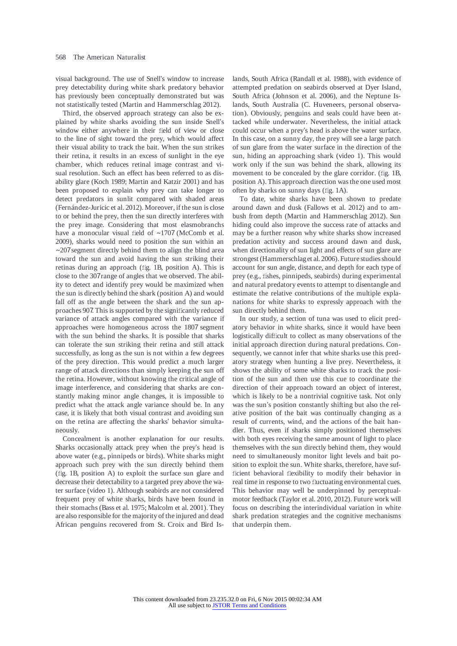visual background. The use of Snell's window to increase prey detectability during white shark predatory behavior has previously been conceptually demonstrated but was not statistically tested (Martin and Hammerschlag 2012).

Third, the observed approach strategy can also be explained by white sharks avoiding the sun inside Snell's window either anywhere in their field of view or close to the line of sight toward the prey, which would affect their visual ability to track the bait. When the sun strikes their retina, it results in an excess of sunlight in the eye chamber, which reduces retinal image contrast and visual resolution. Such an effect has been referred to as disability glare (Koch 1989; Martin and Katzir 2001) and has been proposed to explain why prey can take longer to detect predators in sunlit compared with shaded areas (Fernández-Juricic et al. 2012). Moreover, if the sun is close to or behind the prey, then the sun directly interferes with the prey image. Considering that most elasmobranchs have a monocular visual field of ∼1707 (McComb et al. 2009), sharks would need to position the sun within an ∼207segment directly behind them to align the blind area toward the sun and avoid having the sun striking their retinas during an approach (fig. 1B, position A). This is close to the 307range of angles that we observed. The ability to detect and identify prey would be maximized when the sun is directly behind the shark (position A) and would fall off as the angle between the shark and the sun approaches 907. This is supported by the significantly reduced variance of attack angles compared with the variance if approaches were homogeneous across the 1807 segment with the sun behind the sharks. It is possible that sharks can tolerate the sun striking their retina and still attack successfully, as long as the sun is not within a few degrees of the prey direction. This would predict a much larger range of attack directions than simply keeping the sun off the retina. However, without knowing the critical angle of image interference, and considering that sharks are constantly making minor angle changes, it is impossible to predict what the attack angle variance should be. In any case, it is likely that both visual contrast and avoiding sun on the retina are affecting the sharks' behavior simultaneously.

Concealment is another explanation for our results. Sharks occasionally attack prey when the prey's head is above water (e.g., pinnipeds or birds). White sharks might approach such prey with the sun directly behind them (fig. 1B, position A) to exploit the surface sun glare and decrease their detectability to a targeted prey above the water surface (video 1). Although seabirds are not considered frequent prey of white sharks, birds have been found in their stomachs (Bass et al. 1975; Malcolm et al. 2001). They are also responsible for the majority of the injured and dead African penguins recovered from St. Croix and Bird Islands, South Africa (Randall et al. 1988), with evidence of attempted predation on seabirds observed at Dyer Island, South Africa (Johnson et al. 2006), and the Neptune Islands, South Australia (C. Huveneers, personal observation). Obviously, penguins and seals could have been attacked while underwater. Nevertheless, the initial attack could occur when a prey's head is above the water surface. In this case, on a sunny day, the prey will see a large patch of sun glare from the water surface in the direction of the sun, hiding an approaching shark (video 1). This would work only if the sun was behind the shark, allowing its movement to be concealed by the glare corridor. (fig. 1B, position A). This approach direction was the one used most often by sharks on sunny days (fig. 1A).

To date, white sharks have been shown to predate around dawn and dusk (Fallows et al. 2012) and to ambush from depth (Martin and Hammerschlag 2012). Sun hiding could also improve the success rate of attacks and may be a further reason why white sharks show increased predation activity and success around dawn and dusk, when directionality of sun light and effects of sun glare are strongest (Hammerschlaget al. 2006). Future studies should account for sun angle, distance, and depth for each type of prey (e.g., fishes, pinnipeds, seabirds) during experimental and natural predatory events to attempt to disentangle and estimate the relative contributions of the multiple explanations for white sharks to expressly approach with the sun directly behind them.

In our study, a section of tuna was used to elicit predatory behavior in white sharks, since it would have been logistically difficult to collect as many observations of the initial approach direction during natural predations. Consequently, we cannot infer that white sharks use this predatory strategy when hunting a live prey. Nevertheless, it shows the ability of some white sharks to track the position of the sun and then use this cue to coordinate the direction of their approach toward an object of interest, which is likely to be a nontrivial cognitive task. Not only was the sun's position constantly shifting but also the relative position of the bait was continually changing as a result of currents, wind, and the actions of the bait handler. Thus, even if sharks simply positioned themselves with both eyes receiving the same amount of light to place themselves with the sun directly behind them, they would need to simultaneously monitor light levels and bait position to exploit the sun. White sharks, therefore, have sufficient behavioral flexibility to modify their behavior in real time in response to two fluctuating environmental cues. This behavior may well be underpinned by perceptualmotor feedback (Taylor et al. 2010, 2012). Future work will focus on describing the interindividual variation in white shark predation strategies and the cognitive mechanisms that underpin them.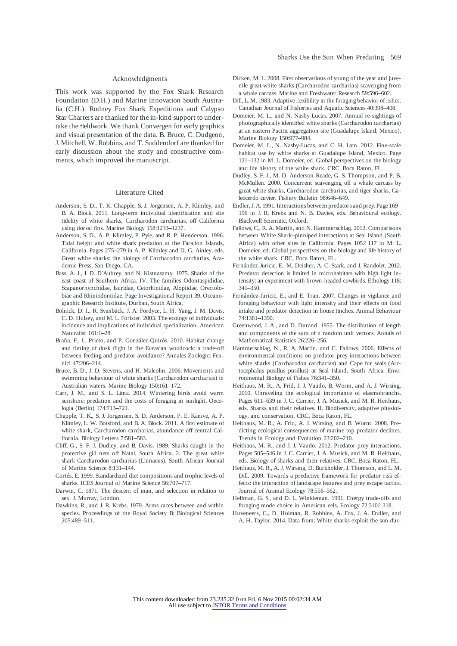#### Acknowledgments

This work was supported by the Fox Shark Research Foundation (D.H.) and Marine Innovation South Australia (C.H.). Rodney Fox Shark Expeditions and Calypso Star Charters are thanked for the in-kind support to undertake the fieldwork. We thank Convergen for early graphics and visual presentation of the data. B. Bruce, C. Dudgeon, J. Mitchell, W. Robbins, and T. Suddendorf are thanked for early discussion about the study and constructive comments, which improved the manuscript.

#### Literature Cited

- Anderson, S. D., T. K. Chapple, S. J. Jorgensen, A. P. Klimley, and B. A. Block. 2011. Long-term individual identification and site fidelity of white sharks, Carcharodon carcharias, off California using dorsal fins. Marine Biology 158:1233–1237.
- Anderson, S. D., A. P. Klimley, P. Pyle, and R. P. Henderson. 1996. Tidal height and white shark predation at the Farallon Islands, California. Pages 275–279 in A. P. Klimley and D. G. Ainley, eds. Great white sharks: the biology of Carcharodon carcharias. Academic Press, San Diego, CA.
- Bass, A. J., J. D. D'Aubrey, and N. Kistnasamy. 1975. Sharks of the east coast of Southern Africa. IV. The families Odontaspididae, Scapanorhynchidae, Isuridae, Cetorhinidae, Alopiidae, Orectolobiae and Rhiniodontidae. Page Investigational Report 39. Oceanographic Research Institute, Durban, South Africa.
- Bolnick, D. I., R. Svanbäck, J. A. Fordyce, L. H. Yang, J. M. Davis, C. D. Hulsey, and M. L. Forister. 2003. The ecology of individuals: incidence and implications of individual specialization. American Naturalist 161:1–28.
- Braña, F., L. Prieto, and P. González-Quirós. 2010. Habitat change and timing of dusk flight in the Eurasian woodcock: a trade-off between feeding and predator avoidance? Annales Zoologici Fennici 47:206–214.
- Bruce, B. D., J. D. Stevens, and H. Malcolm. 2006. Movements and swimming behaviour of white sharks (Carcharodon carcharias) in Australian waters. Marine Biology 150:161–172.
- Carr, J. M., and S. L. Lima. 2014. Wintering birds avoid warm sunshine: predation and the costs of foraging in sunlight. Oecologia (Berlin) 174:713–721.
- Chapple, T. K., S. J. Jorgensen, S. D. Anderson, P. E. Kanive, A. P. Klimley, L. W. Botsford, and B. A. Block. 2011. A first estimate of white shark, Carcharodon carcharias, abundance off central California. Biology Letters 7:581–583.
- Cliff, G., S. F. J. Dudley, and B. Davis. 1989. Sharks caught in the protective gill nets off Natal, South Africa. 2. The great white shark Carcharodon carcharias (Linnaeus). South African Journal of Marine Science 8:131–144.
- Cortés, E. 1999. Standardized diet compositions and trophic levels of sharks. ICES Journal of Marine Science 56:707–717.
- Darwin, C. 1871. The descent of man, and selection in relation to sex. J. Murray, London.
- Dawkins, R., and J. R. Krebs. 1979. Arms races between and within species. Proceedings of the Royal Society B: Biological Sciences 205:489–511.
- Dicken, M. L. 2008. First observations of young of the year and juvenile great white sharks (Carcharodon carcharias) scavenging from a whale carcass. Marine and Freshwater Research 59:596–602.
- Dill, L. M. 1983. Adaptive flexibility in the foraging behavior of fishes. Canadian Journal of Fisheries and Aquatic Sciences 40:398–408.
- Domeier, M. L., and N. Nasby-Lucas. 2007. Annual re-sightings of photographically identified white sharks (Carcharodon carcharias) at an eastern Pacific aggregation site (Guadalupe Island, Mexico). Marine Biology 150:977–984.
- Domeier, M. L., N. Nasby-Lucas, and C. H. Lam. 2012. Fine-scale habitat use by white sharks at Guadalupe Island, Mexico. Page 121–132 in M. L. Domeier, ed. Global perspectives on the biology and life history of the white shark. CRC, Boca Raton, FL.
- Dudley, S. F. J., M. D. Anderson-Reade, G. S. Thompson, and P. B. McMullen. 2000. Concurrent scavenging off a whale carcass by great white sharks, Carcharodon carcharias, and tiger sharks, Galeocerdo cuvier. Fishery Bulletin 98:646–649.
- Endler, J. A. 1991. Interactions between predators and prey. Page 169– 196 in J. R. Krebs and N. B. Davies, eds. Behavioural ecology. Blackwell Scientific, Oxford.
- Fallows, C., R. A. Martin, and N. Hammerschlag. 2012. Comparisons between White Shark–pinniped interactions at Seal Island (South Africa) with other sites in California. Pages 1052 117 in M. L. Domeier, ed. Global perspectives on the biology and life history of the white shark. CRC, Boca Raton, FL.
- Fernández-Juricic, E., M. Deisher, A. C. Stark, and J. Randolet. 2012. Predator detection is limited in microhabitats with high light intensity: an experiment with brown-headed cowbirds. Ethology 118: 341–350.
- Fernández-Juricic, E., and E. Tran. 2007. Changes in vigilance and foraging behaviour with light intensity and their effects on food intake and predator detection in house finches. Animal Behaviour 74:1381–1390.
- Greenwood, J. A., and D. Durand. 1955. The distribution of length and components of the sum of n random unit vectors. Annals of Mathematical Statistics 26:226–256.
- Hammerschlag, N., R. A. Martin, and C. Fallows. 2006. Effects of environmental conditions on predator-prey interactions between white sharks (Carcharodon carcharias) and Cape fur seals (Arctocephalus pusillus pusillus) at Seal Island, South Africa. Environmental Biology of Fishes 76:341–350.
- Heithaus, M. R., A. Frid, J. J. Vaudo, B. Worm, and A. J. Wirsing. 2010. Unraveling the ecological importance of elasmobranchs. Pages 611–639 in J. C. Carrier, J. A. Musick, and M. R. Heithaus, eds. Sharks and their relatives. II. Biodiversity, adaptive physiology, and conservation. CRC, Boca Raton, FL.
- Heithaus, M. R., A. Frid, A. J. Wirsing, and B. Worm. 2008. Predicting ecological consequences of marine top predator declines. Trends in Ecology and Evolution 23:202–210.
- Heithaus, M. R., and J. J. Vaudo. 2012. Predator-prey interactions. Pages 505–546 in J. C. Carrier, J. A. Musick, and M. R. Heithaus, eds. Biology of sharks and their relatives. CRC, Boca Raton, FL.
- Heithaus, M. R., A. J. Wirsing, D. Burkholder, J. Thomson, and L. M. Dill. 2009. Towards a predictive framework for predator risk effects: the interaction of landscape features and prey escape tactics. Journal of Animal Ecology 78:556–562.
- Helfman, G. S., and D. L. Winkleman. 1991. Energy trade-offs and foraging mode choice in American eels. Ecology 72:3102 318.
- Huveneers, C., D. Holman, R. Robbins, A. Fox, J. A. Endler, and A. H. Taylor. 2014. Data from: White sharks exploit the sun dur-